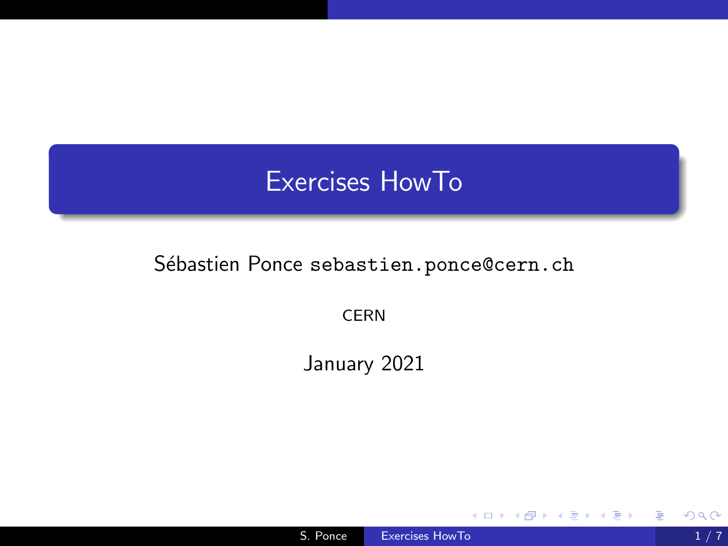# <span id="page-0-0"></span>Exercises HowTo

## Sébastien Ponce sebastien.ponce@cern.ch

CERN

January 2021

4日)

E

Пb.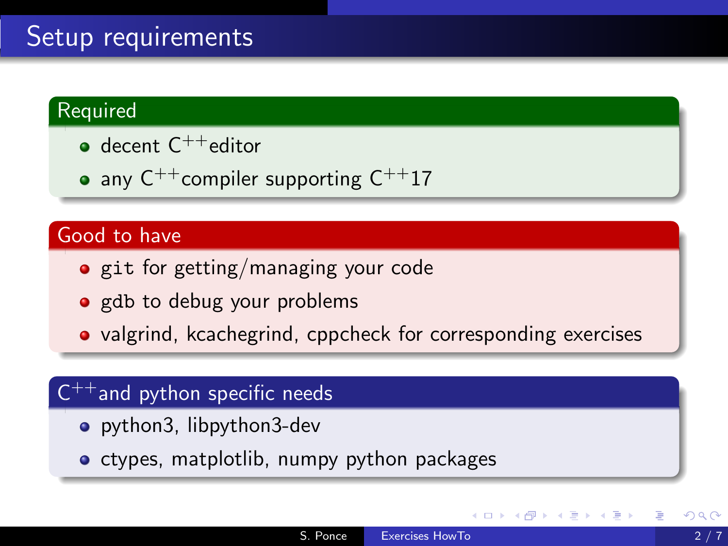# Setup requirements

### Required

- $\bullet$  decent  $C^{++}$ editor
- any  $C^{++}$ compiler supporting  $C^{++}17$

## Good to have

- git for getting/managing your code
- gdb to debug your problems
- valgrind, kcachegrind, cppcheck for corresponding exercises

# $C^{++}$ and python specific needs

- python3, libpython3-dev
- ctypes, matplotlib, numpy python packages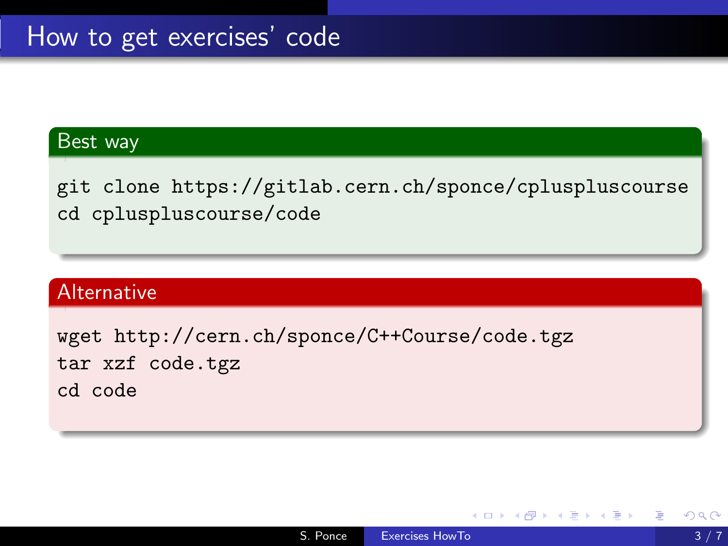### Best way

git clone https://gitlab.cern.ch/sponce/cpluspluscourse cd cpluspluscourse/code

#### Alternative

wget http://cern.ch/sponce/C++Course/code.tgz tar xzf code.tgz cd code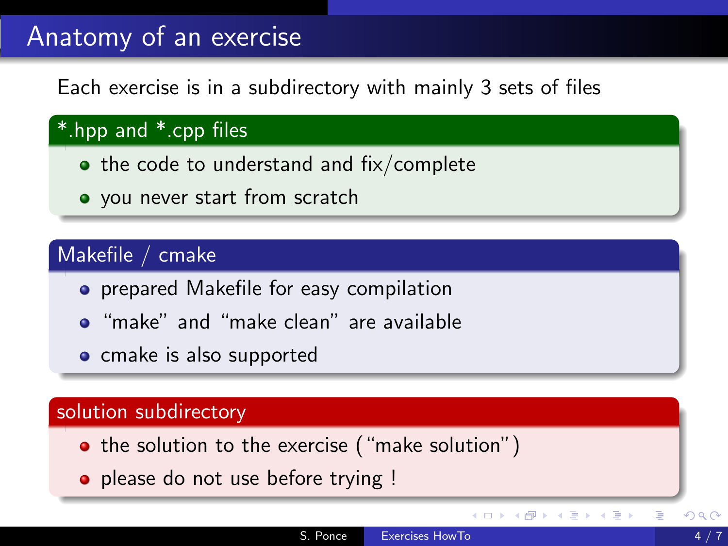# Anatomy of an exercise

Each exercise is in a subdirectory with mainly 3 sets of files

## \*.hpp and \*.cpp files

- $\bullet$  the code to understand and fix/complete
- you never start from scratch

## Makefile / cmake

- **•** prepared Makefile for easy compilation
- "make" and "make clean" are available
- **o** cmake is also supported

#### solution subdirectory

- the solution to the exercise ("make solution")
- please do not use before trying !

CERN-logo.jpg

∢ロ ▶ ∢何 ▶ ∢ ヨ ▶ ∢ ヨ ▶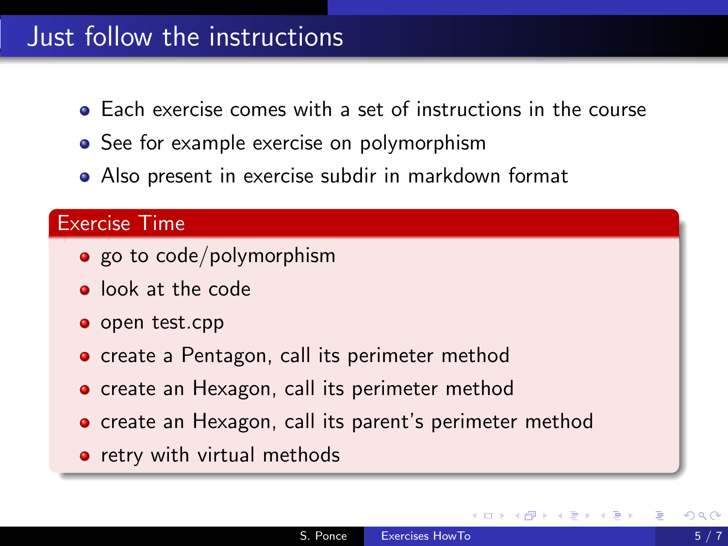# Just follow the instructions

- Each exercise comes with a set of instructions in the course
- See for example exercise on polymorphism
- Also present in exercise subdir in markdown format

### Exercise Time

- $\bullet$  go to code/polymorphism
- **o** look at the code
- o open test.cpp
- **o** create a Pentagon, call its perimeter method
- **•** create an Hexagon, call its perimeter method
- create an Hexagon, call its parent's perimeter method
- retry with virtual methods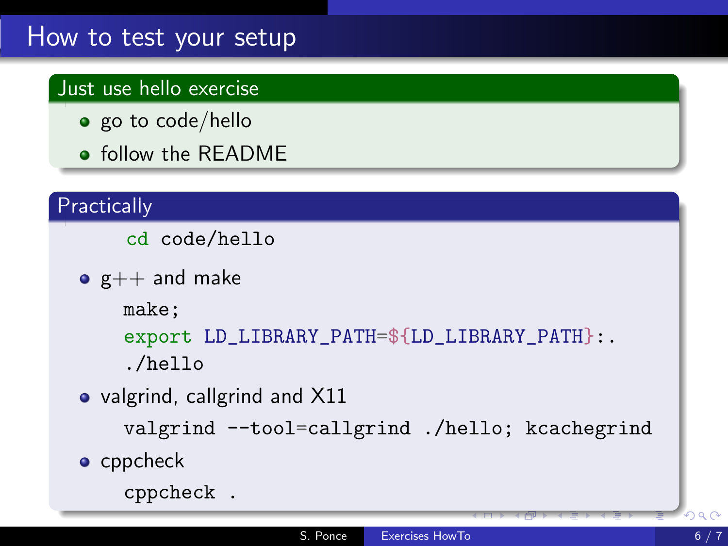# How to test your setup

## Just use hello exercise

- $\bullet$  go to code/hello
- **o** follow the README

## **Practically**

cd code/hello

 $\bullet$  g++ and make

make;

```
export LD_LIBRARY_PATH=${LD_LIBRARY_PATH}:.
```
./hello

• valgrind, callgrind and X11

```
valgrind --tool=callgrind ./hello; kcachegrind
```
• cppcheck

```
cppcheck .
```
CERN-logo.jpg